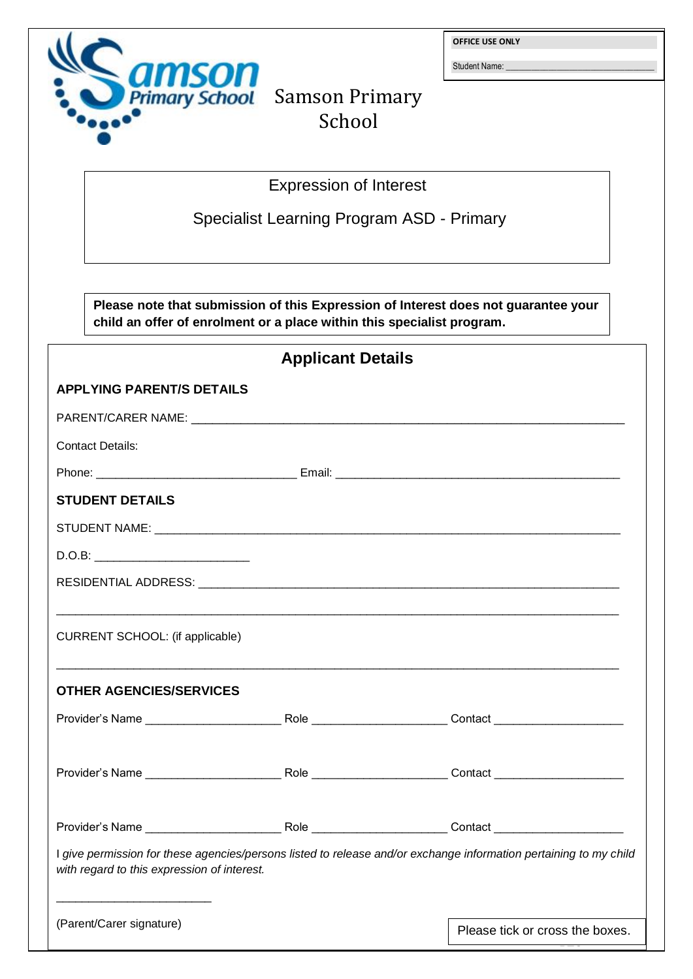

**OFFICE USE ONLY**

Student Name:

PTO

## Primary School Samson Primary School

Expression of Interest

Specialist Learning Program ASD - Primary

**Please note that submission of this Expression of Interest does not guarantee your child an offer of enrolment or a place within this specialist program.**

| <b>Applicant Details</b>                                                                                                                                         |  |                                 |
|------------------------------------------------------------------------------------------------------------------------------------------------------------------|--|---------------------------------|
| <b>APPLYING PARENT/S DETAILS</b>                                                                                                                                 |  |                                 |
|                                                                                                                                                                  |  |                                 |
| <b>Contact Details:</b>                                                                                                                                          |  |                                 |
|                                                                                                                                                                  |  |                                 |
| <b>STUDENT DETAILS</b>                                                                                                                                           |  |                                 |
|                                                                                                                                                                  |  |                                 |
|                                                                                                                                                                  |  |                                 |
|                                                                                                                                                                  |  |                                 |
| CURRENT SCHOOL: (if applicable)                                                                                                                                  |  |                                 |
| <b>OTHER AGENCIES/SERVICES</b>                                                                                                                                   |  |                                 |
|                                                                                                                                                                  |  |                                 |
|                                                                                                                                                                  |  |                                 |
|                                                                                                                                                                  |  |                                 |
| I give permission for these agencies/persons listed to release and/or exchange information pertaining to my child<br>with regard to this expression of interest. |  |                                 |
| (Parent/Carer signature)                                                                                                                                         |  | Please tick or cross the boxes. |